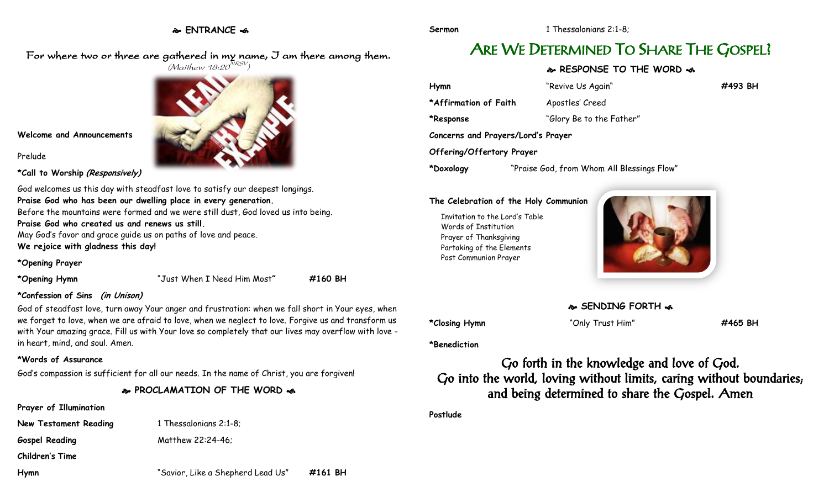## **ENTRANCE**

For where two or three are gathered in my name, I am there among them.  $(M$ atthew 18:20 $^{NRSV})$ 



**Welcome and Announcements**

Prelude

**\*Call to Worship (Responsively)**

God welcomes us this day with steadfast love to satisfy our deepest longings. **Praise God who has been our dwelling place in every generation.** Before the mountains were formed and we were still dust, God loved us into being. **Praise God who created us and renews us still.**

May God's favor and grace guide us on paths of love and peace.

**We rejoice with gladness this day!**

**\*Opening Prayer**

**\*Opening Hymn** "Just When I Need Him Most**" #160 BH**

## **\*Confession of Sins (in Unison)**

God of steadfast love, turn away Your anger and frustration: when we fall short in Your eyes, when we forget to love, when we are afraid to love, when we neglect to love. Forgive us and transform us with Your amazing grace. Fill us with Your love so completely that our lives may overflow with love in heart, mind, and soul. Amen.

### **\*Words of Assurance**

God's compassion is sufficient for all our needs. In the name of Christ, you are forgiven!

**PROCLAMATION OF THE WORD** 

### **Prayer of Illumination**

**New Testament Reading** 1 Thessalonians 2:1-8;

Gospel Reading Matthew 22:24-46;

**Children's Time**

**Hymn** "Savior, Like a Shepherd Lead Us" **#161 BH**

# ARE WE DETERMINED TO SHARE THE GOSPEL?

## **RESPONSE TO THE WORD**

| Hymn                               | "Revive Us Again"                          | #493 BH |
|------------------------------------|--------------------------------------------|---------|
| *Affirmation of Faith              | Apostles' Creed                            |         |
| *Response                          | "Glory Be to the Father"                   |         |
| Concerns and Prayers/Lord's Prayer |                                            |         |
| Offering/Offertory Prayer          |                                            |         |
| *Doxology                          | "Praise God, from Whom All Blessings Flow" |         |

### **The Celebration of the Holy Communion**

Invitation to the Lord's Table Words of Institution Prayer of Thanksgiving Partaking of the Elements Post Communion Prayer



**SENDING FORTH** 

**\*Closing Hymn** "Only Trust Him" **#465 BH**

**\*Benediction**

Go forth in the knowledge and love of God. Go into the world, loving without limits, caring without boundaries; and being determined to share the Gospel. Amen

**Postlude**